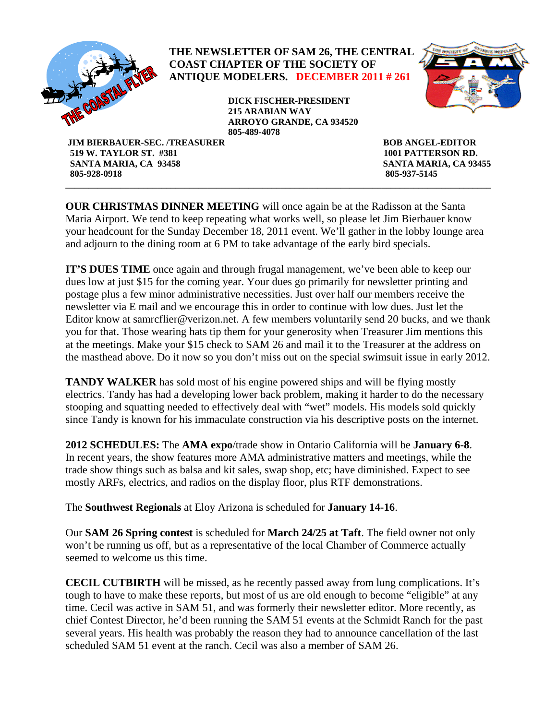

 **SANTA MARIA, CA 93458 SANTA MARIA, CA 93455 805-928-0918 805-937-5145 \_\_\_\_\_\_\_\_\_\_\_\_\_\_\_\_\_\_\_\_\_\_\_\_\_\_\_\_\_\_\_\_\_\_\_\_\_\_\_\_\_\_\_\_\_\_\_\_\_\_\_\_\_\_\_\_\_\_\_\_\_\_\_\_\_\_\_\_\_\_\_\_\_\_\_\_\_\_\_\_\_\_\_\_\_\_\_\_\_\_\_\_\_** 

**OUR CHRISTMAS DINNER MEETING** will once again be at the Radisson at the Santa Maria Airport. We tend to keep repeating what works well, so please let Jim Bierbauer know your headcount for the Sunday December 18, 2011 event. We'll gather in the lobby lounge area and adjourn to the dining room at 6 PM to take advantage of the early bird specials.

**IT'S DUES TIME** once again and through frugal management, we've been able to keep our dues low at just \$15 for the coming year. Your dues go primarily for newsletter printing and postage plus a few minor administrative necessities. Just over half our members receive the newsletter via E mail and we encourage this in order to continue with low dues. Just let the Editor know at samrcflier@verizon.net. A few members voluntarily send 20 bucks, and we thank you for that. Those wearing hats tip them for your generosity when Treasurer Jim mentions this at the meetings. Make your \$15 check to SAM 26 and mail it to the Treasurer at the address on the masthead above. Do it now so you don't miss out on the special swimsuit issue in early 2012.

**TANDY WALKER** has sold most of his engine powered ships and will be flying mostly electrics. Tandy has had a developing lower back problem, making it harder to do the necessary stooping and squatting needed to effectively deal with "wet" models. His models sold quickly since Tandy is known for his immaculate construction via his descriptive posts on the internet.

**2012 SCHEDULES:** The **AMA expo**/trade show in Ontario California will be **January 6-8**. In recent years, the show features more AMA administrative matters and meetings, while the trade show things such as balsa and kit sales, swap shop, etc; have diminished. Expect to see mostly ARFs, electrics, and radios on the display floor, plus RTF demonstrations.

The **Southwest Regionals** at Eloy Arizona is scheduled for **January 14-16**.

Our **SAM 26 Spring contest** is scheduled for **March 24/25 at Taft**. The field owner not only won't be running us off, but as a representative of the local Chamber of Commerce actually seemed to welcome us this time.

**CECIL CUTBIRTH** will be missed, as he recently passed away from lung complications. It's tough to have to make these reports, but most of us are old enough to become "eligible" at any time. Cecil was active in SAM 51, and was formerly their newsletter editor. More recently, as chief Contest Director, he'd been running the SAM 51 events at the Schmidt Ranch for the past several years. His health was probably the reason they had to announce cancellation of the last scheduled SAM 51 event at the ranch. Cecil was also a member of SAM 26.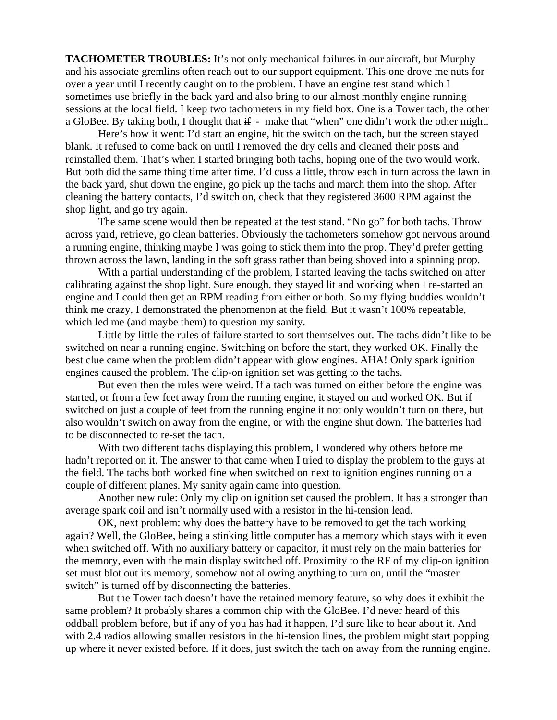**TACHOMETER TROUBLES:** It's not only mechanical failures in our aircraft, but Murphy and his associate gremlins often reach out to our support equipment. This one drove me nuts for over a year until I recently caught on to the problem. I have an engine test stand which I sometimes use briefly in the back yard and also bring to our almost monthly engine running sessions at the local field. I keep two tachometers in my field box. One is a Tower tach, the other a GloBee. By taking both, I thought that  $\text{if }$  - make that "when" one didn't work the other might.

 Here's how it went: I'd start an engine, hit the switch on the tach, but the screen stayed blank. It refused to come back on until I removed the dry cells and cleaned their posts and reinstalled them. That's when I started bringing both tachs, hoping one of the two would work. But both did the same thing time after time. I'd cuss a little, throw each in turn across the lawn in the back yard, shut down the engine, go pick up the tachs and march them into the shop. After cleaning the battery contacts, I'd switch on, check that they registered 3600 RPM against the shop light, and go try again.

The same scene would then be repeated at the test stand. "No go" for both tachs. Throw across yard, retrieve, go clean batteries. Obviously the tachometers somehow got nervous around a running engine, thinking maybe I was going to stick them into the prop. They'd prefer getting thrown across the lawn, landing in the soft grass rather than being shoved into a spinning prop.

With a partial understanding of the problem, I started leaving the tachs switched on after calibrating against the shop light. Sure enough, they stayed lit and working when I re-started an engine and I could then get an RPM reading from either or both. So my flying buddies wouldn't think me crazy, I demonstrated the phenomenon at the field. But it wasn't 100% repeatable, which led me (and maybe them) to question my sanity.

Little by little the rules of failure started to sort themselves out. The tachs didn't like to be switched on near a running engine. Switching on before the start, they worked OK. Finally the best clue came when the problem didn't appear with glow engines. AHA! Only spark ignition engines caused the problem. The clip-on ignition set was getting to the tachs.

But even then the rules were weird. If a tach was turned on either before the engine was started, or from a few feet away from the running engine, it stayed on and worked OK. But if switched on just a couple of feet from the running engine it not only wouldn't turn on there, but also wouldn't switch on away from the engine, or with the engine shut down. The batteries had to be disconnected to re-set the tach.

 With two different tachs displaying this problem, I wondered why others before me hadn't reported on it. The answer to that came when I tried to display the problem to the guys at the field. The tachs both worked fine when switched on next to ignition engines running on a couple of different planes. My sanity again came into question.

Another new rule: Only my clip on ignition set caused the problem. It has a stronger than average spark coil and isn't normally used with a resistor in the hi-tension lead.

OK, next problem: why does the battery have to be removed to get the tach working again? Well, the GloBee, being a stinking little computer has a memory which stays with it even when switched off. With no auxiliary battery or capacitor, it must rely on the main batteries for the memory, even with the main display switched off. Proximity to the RF of my clip-on ignition set must blot out its memory, somehow not allowing anything to turn on, until the "master switch" is turned off by disconnecting the batteries.

 But the Tower tach doesn't have the retained memory feature, so why does it exhibit the same problem? It probably shares a common chip with the GloBee. I'd never heard of this oddball problem before, but if any of you has had it happen, I'd sure like to hear about it. And with 2.4 radios allowing smaller resistors in the hi-tension lines, the problem might start popping up where it never existed before. If it does, just switch the tach on away from the running engine.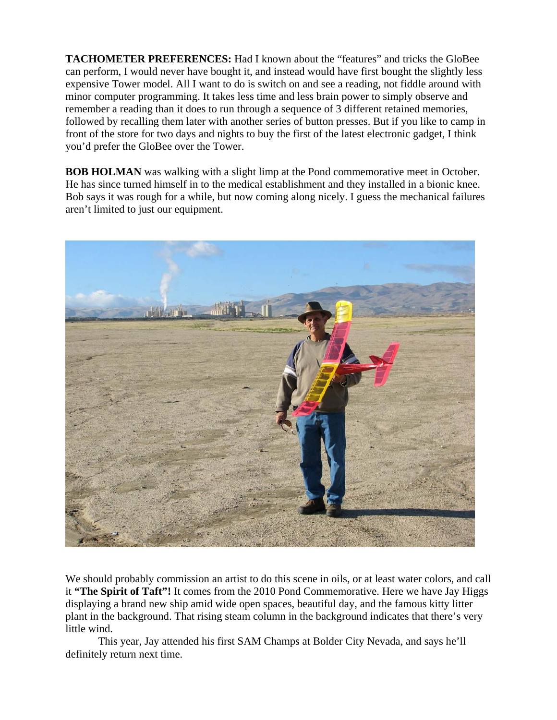**TACHOMETER PREFERENCES:** Had I known about the "features" and tricks the GloBee can perform, I would never have bought it, and instead would have first bought the slightly less expensive Tower model. All I want to do is switch on and see a reading, not fiddle around with minor computer programming. It takes less time and less brain power to simply observe and remember a reading than it does to run through a sequence of 3 different retained memories, followed by recalling them later with another series of button presses. But if you like to camp in front of the store for two days and nights to buy the first of the latest electronic gadget, I think you'd prefer the GloBee over the Tower.

**BOB HOLMAN** was walking with a slight limp at the Pond commemorative meet in October. He has since turned himself in to the medical establishment and they installed in a bionic knee. Bob says it was rough for a while, but now coming along nicely. I guess the mechanical failures aren't limited to just our equipment.



We should probably commission an artist to do this scene in oils, or at least water colors, and call it **"The Spirit of Taft"!** It comes from the 2010 Pond Commemorative. Here we have Jay Higgs displaying a brand new ship amid wide open spaces, beautiful day, and the famous kitty litter plant in the background. That rising steam column in the background indicates that there's very little wind.

This year, Jay attended his first SAM Champs at Bolder City Nevada, and says he'll definitely return next time.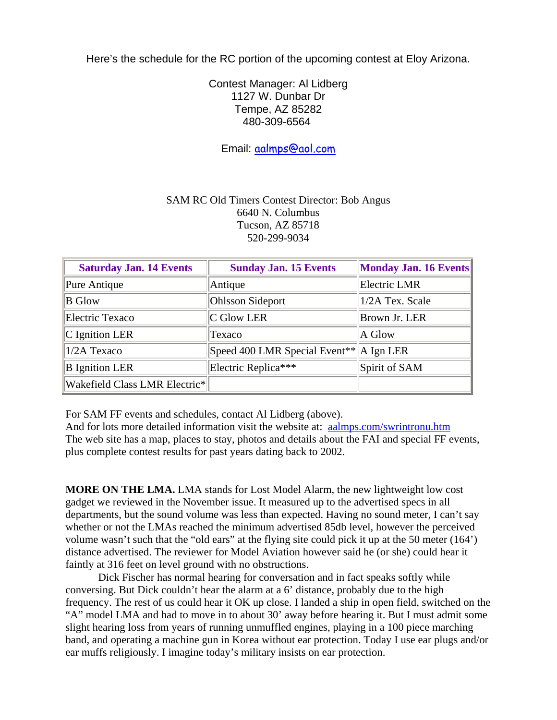Here's the schedule for the RC portion of the upcoming contest at Eloy Arizona.

Contest Manager: Al Lidberg 1127 W. Dunbar Dr Tempe, AZ 85282 480-309-6564

Email: [aalmps@aol.com](mailto:aalmps@aol.com)

## SAM RC Old Timers Contest Director: Bob Angus 6640 N. Columbus Tucson, AZ 85718 520-299-9034

| <b>Saturday Jan. 14 Events</b> | <b>Sunday Jan. 15 Events</b>                                      | Monday Jan. 16 Events |
|--------------------------------|-------------------------------------------------------------------|-----------------------|
| Pure Antique                   | Antique                                                           | Electric LMR          |
| <b>B</b> Glow                  | <b>Ohlsson Sideport</b>                                           | 1/2A Tex. Scale       |
| Electric Texaco                | $ C \text{ Glow LER} $                                            | Brown Jr. LER         |
| $ C $ Ignition LER             | Texaco                                                            | $A$ Glow              |
| $1/2A$ Texaco                  | Speed 400 LMR Special Event <sup>**</sup> $\ A \text{ Ign LER}\ $ |                       |
| <b>B</b> Ignition LER          | Electric Replica***                                               | Spirit of SAM         |
| Wakefield Class LMR Electric*  |                                                                   |                       |

For SAM FF events and schedules, contact Al Lidberg (above).

And for lots more detailed information visit the website at: [aalmps.com/swrintronu.htm](http://aalmps.com/swrintronu.htm) The web site has a map, places to stay, photos and details about the FAI and special FF events, plus complete contest results for past years dating back to 2002.

**MORE ON THE LMA.** LMA stands for Lost Model Alarm, the new lightweight low cost gadget we reviewed in the November issue. It measured up to the advertised specs in all departments, but the sound volume was less than expected. Having no sound meter, I can't say whether or not the LMAs reached the minimum advertised 85db level, however the perceived volume wasn't such that the "old ears" at the flying site could pick it up at the 50 meter (164') distance advertised. The reviewer for Model Aviation however said he (or she) could hear it faintly at 316 feet on level ground with no obstructions.

Dick Fischer has normal hearing for conversation and in fact speaks softly while conversing. But Dick couldn't hear the alarm at a 6' distance, probably due to the high frequency. The rest of us could hear it OK up close. I landed a ship in open field, switched on the "A" model LMA and had to move in to about 30' away before hearing it. But I must admit some slight hearing loss from years of running unmuffled engines, playing in a 100 piece marching band, and operating a machine gun in Korea without ear protection. Today I use ear plugs and/or ear muffs religiously. I imagine today's military insists on ear protection.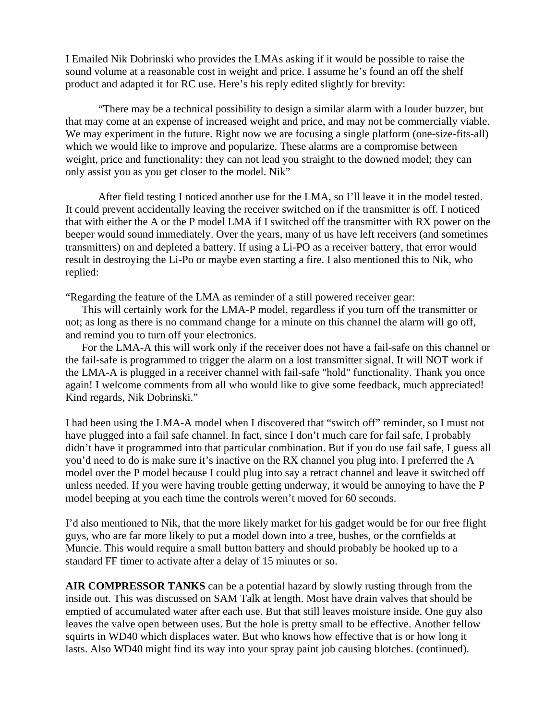I Emailed Nik Dobrinski who provides the LMAs asking if it would be possible to raise the sound volume at a reasonable cost in weight and price. I assume he's found an off the shelf product and adapted it for RC use. Here's his reply edited slightly for brevity:

"There may be a technical possibility to design a similar alarm with a louder buzzer, but that may come at an expense of increased weight and price, and may not be commercially viable. We may experiment in the future. Right now we are focusing a single platform (one-size-fits-all) which we would like to improve and popularize. These alarms are a compromise between weight, price and functionality: they can not lead you straight to the downed model; they can only assist you as you get closer to the model. Nik"

After field testing I noticed another use for the LMA, so I'll leave it in the model tested. It could prevent accidentally leaving the receiver switched on if the transmitter is off. I noticed that with either the A or the P model LMA if I switched off the transmitter with RX power on the beeper would sound immediately. Over the years, many of us have left receivers (and sometimes transmitters) on and depleted a battery. If using a Li-PO as a receiver battery, that error would result in destroying the Li-Po or maybe even starting a fire. I also mentioned this to Nik, who replied:

"Regarding the feature of the LMA as reminder of a still powered receiver gear:

This will certainly work for the LMA-P model, regardless if you turn off the transmitter or not; as long as there is no command change for a minute on this channel the alarm will go off, and remind you to turn off your electronics.

For the LMA-A this will work only if the receiver does not have a fail-safe on this channel or the fail-safe is programmed to trigger the alarm on a lost transmitter signal. It will NOT work if the LMA-A is plugged in a receiver channel with fail-safe "hold" functionality. Thank you once again! I welcome comments from all who would like to give some feedback, much appreciated! Kind regards, Nik Dobrinski."

I had been using the LMA-A model when I discovered that "switch off" reminder, so I must not have plugged into a fail safe channel. In fact, since I don't much care for fail safe, I probably didn't have it programmed into that particular combination. But if you do use fail safe, I guess all you'd need to do is make sure it's inactive on the RX channel you plug into. I preferred the A model over the P model because I could plug into say a retract channel and leave it switched off unless needed. If you were having trouble getting underway, it would be annoying to have the P model beeping at you each time the controls weren't moved for 60 seconds.

I'd also mentioned to Nik, that the more likely market for his gadget would be for our free flight guys, who are far more likely to put a model down into a tree, bushes, or the cornfields at Muncie. This would require a small button battery and should probably be hooked up to a standard FF timer to activate after a delay of 15 minutes or so.

**AIR COMPRESSOR TANKS** can be a potential hazard by slowly rusting through from the inside out. This was discussed on SAM Talk at length. Most have drain valves that should be emptied of accumulated water after each use. But that still leaves moisture inside. One guy also leaves the valve open between uses. But the hole is pretty small to be effective. Another fellow squirts in WD40 which displaces water. But who knows how effective that is or how long it lasts. Also WD40 might find its way into your spray paint job causing blotches. (continued).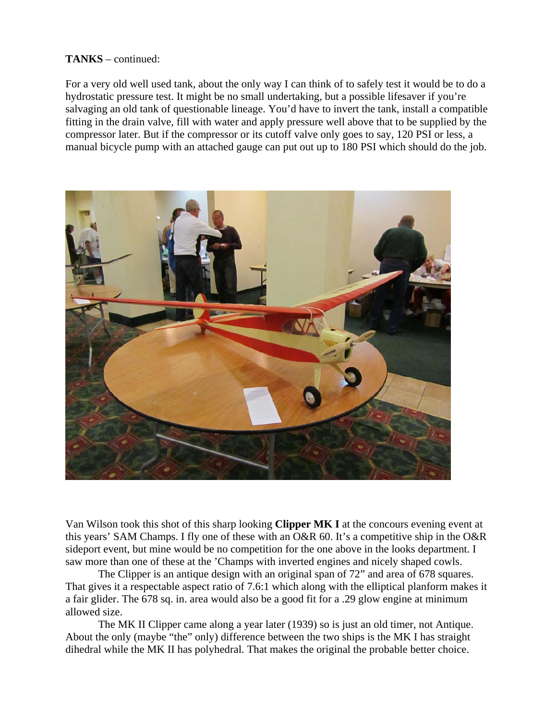## **TANKS** – continued:

For a very old well used tank, about the only way I can think of to safely test it would be to do a hydrostatic pressure test. It might be no small undertaking, but a possible lifesaver if you're salvaging an old tank of questionable lineage. You'd have to invert the tank, install a compatible fitting in the drain valve, fill with water and apply pressure well above that to be supplied by the compressor later. But if the compressor or its cutoff valve only goes to say, 120 PSI or less, a manual bicycle pump with an attached gauge can put out up to 180 PSI which should do the job.



Van Wilson took this shot of this sharp looking **Clipper MK I** at the concours evening event at this years' SAM Champs. I fly one of these with an O&R 60. It's a competitive ship in the O&R sideport event, but mine would be no competition for the one above in the looks department. I saw more than one of these at the 'Champs with inverted engines and nicely shaped cowls.

 The Clipper is an antique design with an original span of 72" and area of 678 squares. That gives it a respectable aspect ratio of 7.6:1 which along with the elliptical planform makes it a fair glider. The 678 sq. in. area would also be a good fit for a .29 glow engine at minimum allowed size.

 The MK II Clipper came along a year later (1939) so is just an old timer, not Antique. About the only (maybe "the" only) difference between the two ships is the MK I has straight dihedral while the MK II has polyhedral. That makes the original the probable better choice.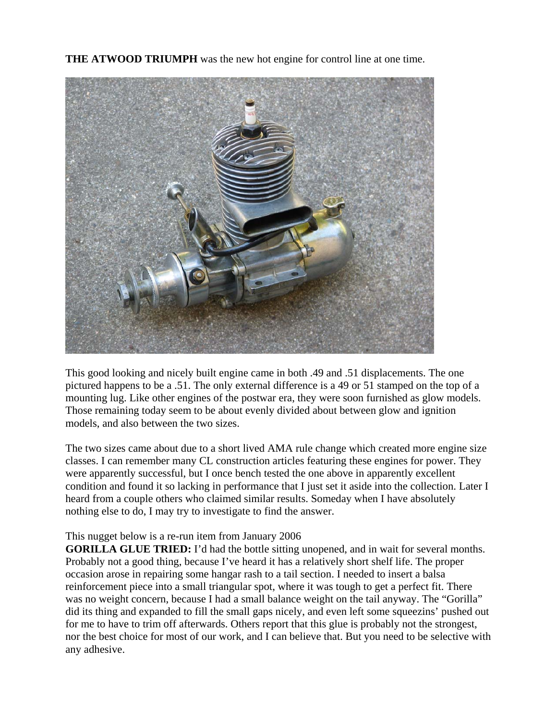**THE ATWOOD TRIUMPH** was the new hot engine for control line at one time.



This good looking and nicely built engine came in both .49 and .51 displacements. The one pictured happens to be a .51. The only external difference is a 49 or 51 stamped on the top of a mounting lug. Like other engines of the postwar era, they were soon furnished as glow models. Those remaining today seem to be about evenly divided about between glow and ignition models, and also between the two sizes.

The two sizes came about due to a short lived AMA rule change which created more engine size classes. I can remember many CL construction articles featuring these engines for power. They were apparently successful, but I once bench tested the one above in apparently excellent condition and found it so lacking in performance that I just set it aside into the collection. Later I heard from a couple others who claimed similar results. Someday when I have absolutely nothing else to do, I may try to investigate to find the answer.

## This nugget below is a re-run item from January 2006

**GORILLA GLUE TRIED:** I'd had the bottle sitting unopened, and in wait for several months. Probably not a good thing, because I've heard it has a relatively short shelf life. The proper occasion arose in repairing some hangar rash to a tail section. I needed to insert a balsa reinforcement piece into a small triangular spot, where it was tough to get a perfect fit. There was no weight concern, because I had a small balance weight on the tail anyway. The "Gorilla" did its thing and expanded to fill the small gaps nicely, and even left some squeezins' pushed out for me to have to trim off afterwards. Others report that this glue is probably not the strongest, nor the best choice for most of our work, and I can believe that. But you need to be selective with any adhesive.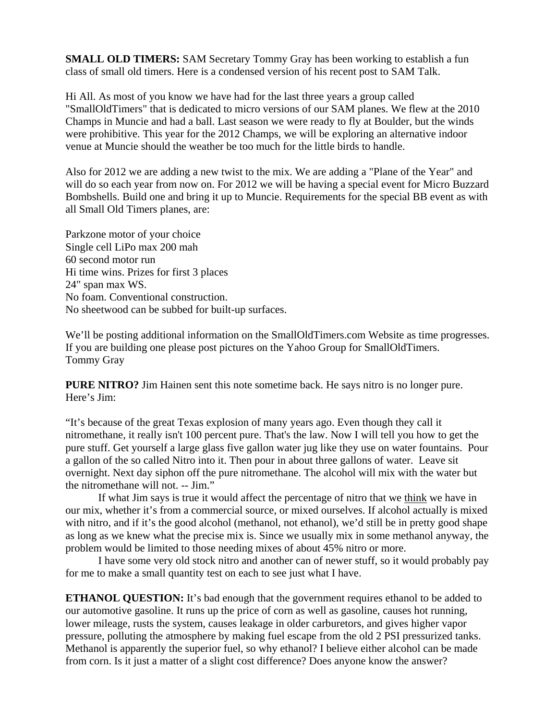**SMALL OLD TIMERS:** SAM Secretary Tommy Gray has been working to establish a fun class of small old timers. Here is a condensed version of his recent post to SAM Talk.

Hi All. As most of you know we have had for the last three years a group called "SmallOldTimers" that is dedicated to micro versions of our SAM planes. We flew at the 2010 Champs in Muncie and had a ball. Last season we were ready to fly at Boulder, but the winds were prohibitive. This year for the 2012 Champs, we will be exploring an alternative indoor venue at Muncie should the weather be too much for the little birds to handle.

Also for 2012 we are adding a new twist to the mix. We are adding a "Plane of the Year" and will do so each year from now on. For 2012 we will be having a special event for Micro Buzzard Bombshells. Build one and bring it up to Muncie. Requirements for the special BB event as with all Small Old Timers planes, are:

Parkzone motor of your choice Single cell LiPo max 200 mah 60 second motor run Hi time wins. Prizes for first 3 places 24" span max WS. No foam. Conventional construction. No sheetwood can be subbed for built-up surfaces.

We'll be posting additional information on the SmallOldTimers.com Website as time progresses. If you are building one please post pictures on the Yahoo Group for SmallOldTimers. Tommy Gray

**PURE NITRO?** Jim Hainen sent this note sometime back. He says nitro is no longer pure. Here's Jim:

"It's because of the great Texas explosion of many years ago. Even though they call it nitromethane, it really isn't 100 percent pure. That's the law. Now I will tell you how to get the pure stuff. Get yourself a large glass five gallon water jug like they use on water fountains. Pour a gallon of the so called Nitro into it. Then pour in about three gallons of water. Leave sit overnight. Next day siphon off the pure nitromethane. The alcohol will mix with the water but the nitromethane will not. -- Jim."

If what Jim says is true it would affect the percentage of nitro that we think we have in our mix, whether it's from a commercial source, or mixed ourselves. If alcohol actually is mixed with nitro, and if it's the good alcohol (methanol, not ethanol), we'd still be in pretty good shape as long as we knew what the precise mix is. Since we usually mix in some methanol anyway, the problem would be limited to those needing mixes of about 45% nitro or more.

I have some very old stock nitro and another can of newer stuff, so it would probably pay for me to make a small quantity test on each to see just what I have.

**ETHANOL QUESTION:** It's bad enough that the government requires ethanol to be added to our automotive gasoline. It runs up the price of corn as well as gasoline, causes hot running, lower mileage, rusts the system, causes leakage in older carburetors, and gives higher vapor pressure, polluting the atmosphere by making fuel escape from the old 2 PSI pressurized tanks. Methanol is apparently the superior fuel, so why ethanol? I believe either alcohol can be made from corn. Is it just a matter of a slight cost difference? Does anyone know the answer?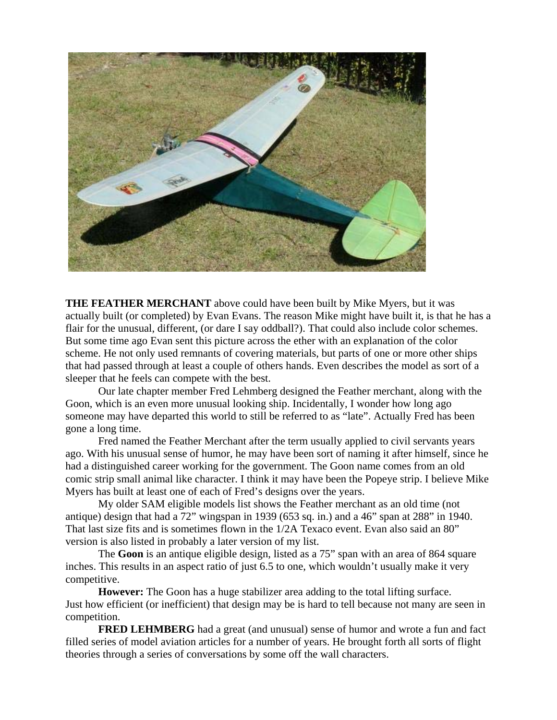

**THE FEATHER MERCHANT** above could have been built by Mike Myers, but it was actually built (or completed) by Evan Evans. The reason Mike might have built it, is that he has a flair for the unusual, different, (or dare I say oddball?). That could also include color schemes. But some time ago Evan sent this picture across the ether with an explanation of the color scheme. He not only used remnants of covering materials, but parts of one or more other ships that had passed through at least a couple of others hands. Even describes the model as sort of a sleeper that he feels can compete with the best.

 Our late chapter member Fred Lehmberg designed the Feather merchant, along with the Goon, which is an even more unusual looking ship. Incidentally, I wonder how long ago someone may have departed this world to still be referred to as "late". Actually Fred has been gone a long time.

 Fred named the Feather Merchant after the term usually applied to civil servants years ago. With his unusual sense of humor, he may have been sort of naming it after himself, since he had a distinguished career working for the government. The Goon name comes from an old comic strip small animal like character. I think it may have been the Popeye strip. I believe Mike Myers has built at least one of each of Fred's designs over the years.

 My older SAM eligible models list shows the Feather merchant as an old time (not antique) design that had a 72" wingspan in 1939 (653 sq. in.) and a 46" span at 288" in 1940. That last size fits and is sometimes flown in the 1/2A Texaco event. Evan also said an 80" version is also listed in probably a later version of my list.

 The **Goon** is an antique eligible design, listed as a 75" span with an area of 864 square inches. This results in an aspect ratio of just 6.5 to one, which wouldn't usually make it very competitive.

**However:** The Goon has a huge stabilizer area adding to the total lifting surface. Just how efficient (or inefficient) that design may be is hard to tell because not many are seen in competition.

**FRED LEHMBERG** had a great (and unusual) sense of humor and wrote a fun and fact filled series of model aviation articles for a number of years. He brought forth all sorts of flight theories through a series of conversations by some off the wall characters.